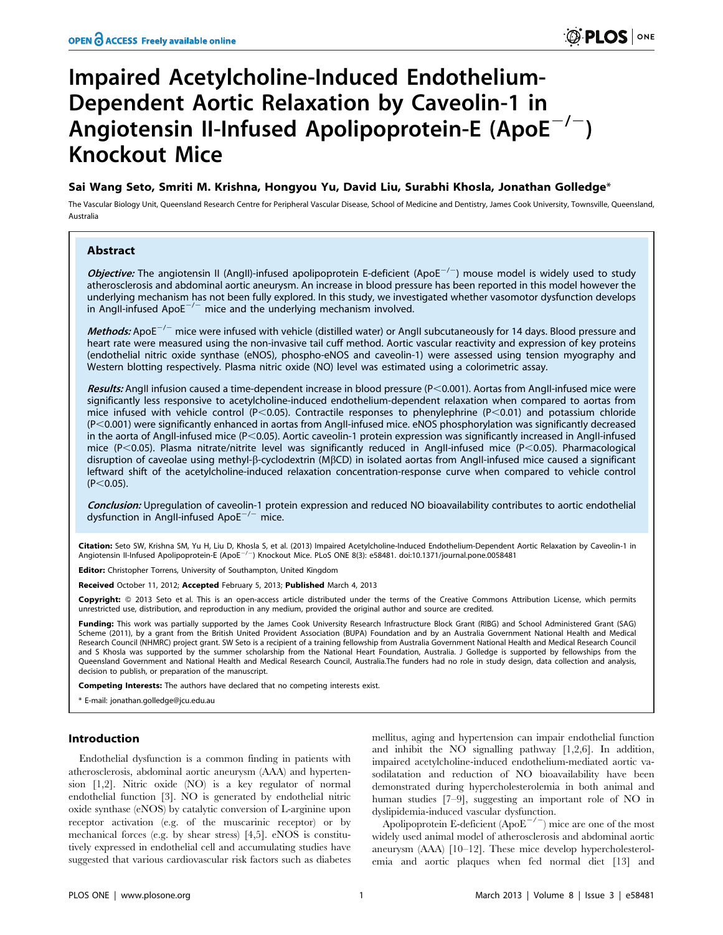# Impaired Acetylcholine-Induced Endothelium-Dependent Aortic Relaxation by Caveolin-1 in Angiotensin II-Infused Apolipoprotein-E (Apo $E^{-/-}$ ) Knockout Mice

## Sai Wang Seto, Smriti M. Krishna, Hongyou Yu, David Liu, Surabhi Khosla, Jonathan Golledge\*

The Vascular Biology Unit, Queensland Research Centre for Peripheral Vascular Disease, School of Medicine and Dentistry, James Cook University, Townsville, Queensland, Australia

## Abstract

**Objective:** The angiotensin II (AngII)-infused apolipoprotein E-deficient (ApoE<sup>-/-</sup>) mouse model is widely used to study atherosclerosis and abdominal aortic aneurysm. An increase in blood pressure has been reported in this model however the underlying mechanism has not been fully explored. In this study, we investigated whether vasomotor dysfunction develops in AngII-infused Apo $E^{-/-}$  mice and the underlying mechanism involved.

Methods: Apo $E^{-/-}$  mice were infused with vehicle (distilled water) or AngII subcutaneously for 14 days. Blood pressure and heart rate were measured using the non-invasive tail cuff method. Aortic vascular reactivity and expression of key proteins (endothelial nitric oxide synthase (eNOS), phospho-eNOS and caveolin-1) were assessed using tension myography and Western blotting respectively. Plasma nitric oxide (NO) level was estimated using a colorimetric assay.

Results: Angll infusion caused a time-dependent increase in blood pressure ( $P< 0.001$ ). Aortas from Angll-infused mice were significantly less responsive to acetylcholine-induced endothelium-dependent relaxation when compared to aortas from mice infused with vehicle control (P<0.05). Contractile responses to phenylephrine (P<0.01) and potassium chloride (P<0.001) were significantly enhanced in aortas from AngII-infused mice. eNOS phosphorylation was significantly decreased in the aorta of AngII-infused mice (P<0.05). Aortic caveolin-1 protein expression was significantly increased in AngII-infused mice (P<0.05). Plasma nitrate/nitrite level was significantly reduced in AngII-infused mice (P<0.05). Pharmacological disruption of caveolae using methyl-b-cyclodextrin (MbCD) in isolated aortas from AngII-infused mice caused a significant leftward shift of the acetylcholine-induced relaxation concentration-response curve when compared to vehicle control  $(P<0.05)$ .

Conclusion: Upregulation of caveolin-1 protein expression and reduced NO bioavailability contributes to aortic endothelial dysfunction in Angll-infused Apo $E^{-/-}$  mice.

Citation: Seto SW, Krishna SM, Yu H, Liu D, Khosla S, et al. (2013) Impaired Acetylcholine-Induced Endothelium-Dependent Aortic Relaxation by Caveolin-1 in Angiotensin II-Infused Apolipoprotein-E (ApoE<sup>-/-</sup>) Knockout Mice. PLoS ONE 8(3): e58481. doi:10.1371/journal.pone.0058481

Editor: Christopher Torrens, University of Southampton, United Kingdom

Received October 11, 2012; Accepted February 5, 2013; Published March 4, 2013

Copyright: @ 2013 Seto et al. This is an open-access article distributed under the terms of the Creative Commons Attribution License, which permits unrestricted use, distribution, and reproduction in any medium, provided the original author and source are credited.

Funding: This work was partially supported by the James Cook University Research Infrastructure Block Grant (RIBG) and School Administered Grant (SAG) Scheme (2011), by a grant from the British United Provident Association (BUPA) Foundation and by an Australia Government National Health and Medical Research Council (NHMRC) project grant. SW Seto is a recipient of a training fellowship from Australia Government National Health and Medical Research Council and S Khosla was supported by the summer scholarship from the National Heart Foundation, Australia. J Golledge is supported by fellowships from the Queensland Government and National Health and Medical Research Council, Australia.The funders had no role in study design, data collection and analysis, decision to publish, or preparation of the manuscript.

Competing Interests: The authors have declared that no competing interests exist.

\* E-mail: jonathan.golledge@jcu.edu.au

#### Introduction

Endothelial dysfunction is a common finding in patients with atherosclerosis, abdominal aortic aneurysm (AAA) and hypertension [1,2]. Nitric oxide (NO) is a key regulator of normal endothelial function [3]. NO is generated by endothelial nitric oxide synthase (eNOS) by catalytic conversion of L-arginine upon receptor activation (e.g. of the muscarinic receptor) or by mechanical forces (e.g. by shear stress) [4,5]. eNOS is constitutively expressed in endothelial cell and accumulating studies have suggested that various cardiovascular risk factors such as diabetes

mellitus, aging and hypertension can impair endothelial function and inhibit the NO signalling pathway [1,2,6]. In addition, impaired acetylcholine-induced endothelium-mediated aortic vasodilatation and reduction of NO bioavailability have been demonstrated during hypercholesterolemia in both animal and human studies [7–9], suggesting an important role of NO in dyslipidemia-induced vascular dysfunction.

Apolipoprotein E-deficient (Apo $E^{-/-}$ ) mice are one of the most widely used animal model of atherosclerosis and abdominal aortic aneurysm (AAA) [10–12]. These mice develop hypercholesterolemia and aortic plaques when fed normal diet [13] and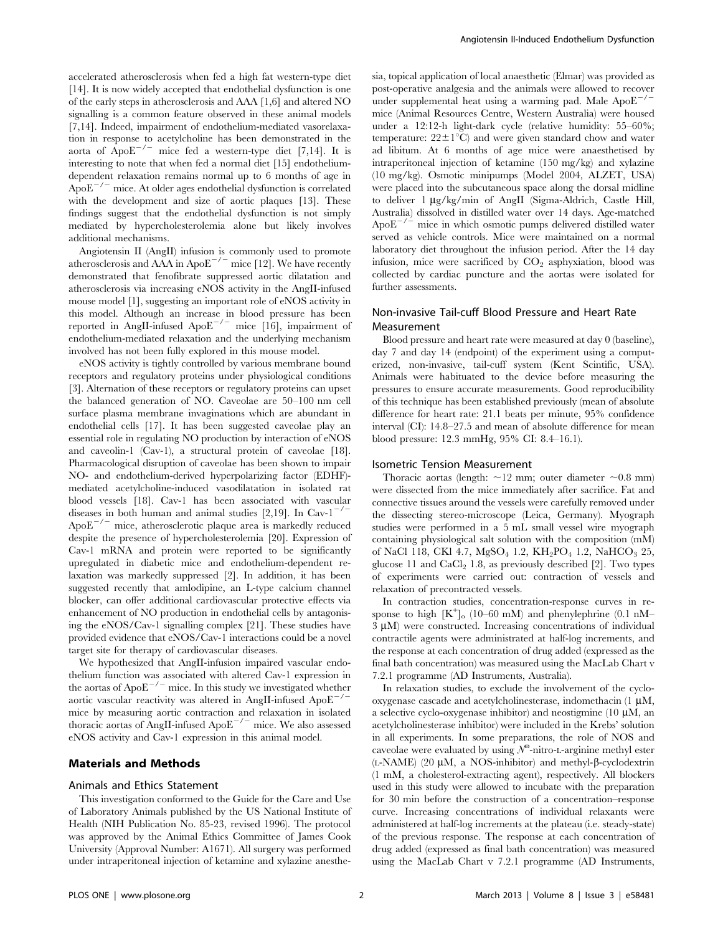accelerated atherosclerosis when fed a high fat western-type diet [14]. It is now widely accepted that endothelial dysfunction is one of the early steps in atherosclerosis and AAA [1,6] and altered NO signalling is a common feature observed in these animal models [7,14]. Indeed, impairment of endothelium-mediated vasorelaxation in response to acetylcholine has been demonstrated in the aorta of Apo $E^{-/-}$  mice fed a western-type diet [7,14]. It is interesting to note that when fed a normal diet [15] endotheliumdependent relaxation remains normal up to 6 months of age in  $ApoE^{-/-}$  mice. At older ages endothelial dysfunction is correlated with the development and size of aortic plaques [13]. These findings suggest that the endothelial dysfunction is not simply mediated by hypercholesterolemia alone but likely involves additional mechanisms.

Angiotensin II (AngII) infusion is commonly used to promote atherosclerosis and AAA in Apo $E^{-/-}$  mice [12]. We have recently demonstrated that fenofibrate suppressed aortic dilatation and atherosclerosis via increasing eNOS activity in the AngII-infused mouse model [1], suggesting an important role of eNOS activity in this model. Although an increase in blood pressure has been reported in AngII-infused Apo $E^{-/-}$  mice [16], impairment of endothelium-mediated relaxation and the underlying mechanism involved has not been fully explored in this mouse model.

eNOS activity is tightly controlled by various membrane bound receptors and regulatory proteins under physiological conditions [3]. Alternation of these receptors or regulatory proteins can upset the balanced generation of NO. Caveolae are 50–100 nm cell surface plasma membrane invaginations which are abundant in endothelial cells [17]. It has been suggested caveolae play an essential role in regulating NO production by interaction of eNOS and caveolin-1 (Cav-1), a structural protein of caveolae [18]. Pharmacological disruption of caveolae has been shown to impair NO- and endothelium-derived hyperpolarizing factor (EDHF) mediated acetylcholine-induced vasodilatation in isolated rat blood vessels [18]. Cav-1 has been associated with vascular diseases in both human and animal studies [2,19]. In Cav-1<sup>-1</sup> Apo $E^{-/-}$  mice, atherosclerotic plaque area is markedly reduced despite the presence of hypercholesterolemia [20]. Expression of Cav-1 mRNA and protein were reported to be significantly upregulated in diabetic mice and endothelium-dependent relaxation was markedly suppressed [2]. In addition, it has been suggested recently that amlodipine, an L-type calcium channel blocker, can offer additional cardiovascular protective effects via enhancement of NO production in endothelial cells by antagonising the eNOS/Cav-1 signalling complex [21]. These studies have provided evidence that eNOS/Cav-1 interactions could be a novel target site for therapy of cardiovascular diseases.

We hypothesized that AngII-infusion impaired vascular endothelium function was associated with altered Cav-1 expression in the aortas of  $ApoE^{-/-}$  mice. In this study we investigated whether aortic vascular reactivity was altered in AngII-infused ApoE<sup>-</sup> mice by measuring aortic contraction and relaxation in isolated thoracic aortas of AngII-infused Apo $E^{-/-}$  mice. We also assessed eNOS activity and Cav-1 expression in this animal model.

## Materials and Methods

#### Animals and Ethics Statement

This investigation conformed to the Guide for the Care and Use of Laboratory Animals published by the US National Institute of Health (NIH Publication No. 85-23, revised 1996). The protocol was approved by the Animal Ethics Committee of James Cook University (Approval Number: A1671). All surgery was performed under intraperitoneal injection of ketamine and xylazine anesthesia, topical application of local anaesthetic (Elmar) was provided as post-operative analgesia and the animals were allowed to recover under supplemental heat using a warming pad. Male  $ApoE^{-2}$ mice (Animal Resources Centre, Western Australia) were housed under a 12:12-h light-dark cycle (relative humidity: 55–60%; temperature:  $22 \pm 1^{\circ}C$  and were given standard chow and water ad libitum. At 6 months of age mice were anaesthetised by intraperitoneal injection of ketamine (150 mg/kg) and xylazine (10 mg/kg). Osmotic minipumps (Model 2004, ALZET, USA) were placed into the subcutaneous space along the dorsal midline to deliver 1 µg/kg/min of AngII (Sigma-Aldrich, Castle Hill, Australia) dissolved in distilled water over 14 days. Age-matched  $ApoE^{-/-}$  mice in which osmotic pumps delivered distilled water served as vehicle controls. Mice were maintained on a normal laboratory diet throughout the infusion period. After the 14 day infusion, mice were sacrificed by  $CO<sub>2</sub>$  asphyxiation, blood was collected by cardiac puncture and the aortas were isolated for further assessments.

# Non-invasive Tail-cuff Blood Pressure and Heart Rate Measurement

Blood pressure and heart rate were measured at day 0 (baseline), day 7 and day 14 (endpoint) of the experiment using a computerized, non-invasive, tail-cuff system (Kent Scintific, USA). Animals were habituated to the device before measuring the pressures to ensure accurate measurements. Good reproducibility of this technique has been established previously (mean of absolute difference for heart rate: 21.1 beats per minute, 95% confidence interval (CI): 14.8–27.5 and mean of absolute difference for mean blood pressure: 12.3 mmHg, 95% CI: 8.4–16.1).

#### Isometric Tension Measurement

Thoracic aortas (length:  $\sim$ 12 mm; outer diameter  $\sim$ 0.8 mm) were dissected from the mice immediately after sacrifice. Fat and connective tissues around the vessels were carefully removed under the dissecting stereo-microscope (Leica, Germany). Myograph studies were performed in a 5 mL small vessel wire myograph containing physiological salt solution with the composition (mM) of NaCl 118, CKl 4.7, MgSO<sub>4</sub> 1.2, KH<sub>2</sub>PO<sub>4</sub> 1.2, NaHCO<sub>3</sub> 25, glucose 11 and  $CaCl<sub>2</sub> 1.8$ , as previously described [2]. Two types of experiments were carried out: contraction of vessels and relaxation of precontracted vessels.

In contraction studies, concentration-response curves in response to high  $[K^+]_0$  (10–60 mM) and phenylephrine (0.1 nM–  $3 \mu M$ ) were constructed. Increasing concentrations of individual contractile agents were administrated at half-log increments, and the response at each concentration of drug added (expressed as the final bath concentration) was measured using the MacLab Chart v 7.2.1 programme (AD Instruments, Australia).

In relaxation studies, to exclude the involvement of the cyclooxygenase cascade and acetylcholinesterase, indomethacin  $(1 \mu M,$ a selective cyclo-oxygenase inhibitor) and neostigmine (10  $\mu$ M, an acetylcholinesterase inhibitor) were included in the Krebs' solution in all experiments. In some preparations, the role of NOS and caveolae were evaluated by using  $\mathcal{N}^{\omega}$ -nitro-L-arginine methyl ester  $(L-NAME)$  (20  $\mu$ M, a NOS-inhibitor) and methyl- $\beta$ -cyclodextrin (1 mM, a cholesterol-extracting agent), respectively. All blockers used in this study were allowed to incubate with the preparation for 30 min before the construction of a concentration–response curve. Increasing concentrations of individual relaxants were administered at half-log increments at the plateau (i.e. steady-state) of the previous response. The response at each concentration of drug added (expressed as final bath concentration) was measured using the MacLab Chart v 7.2.1 programme (AD Instruments,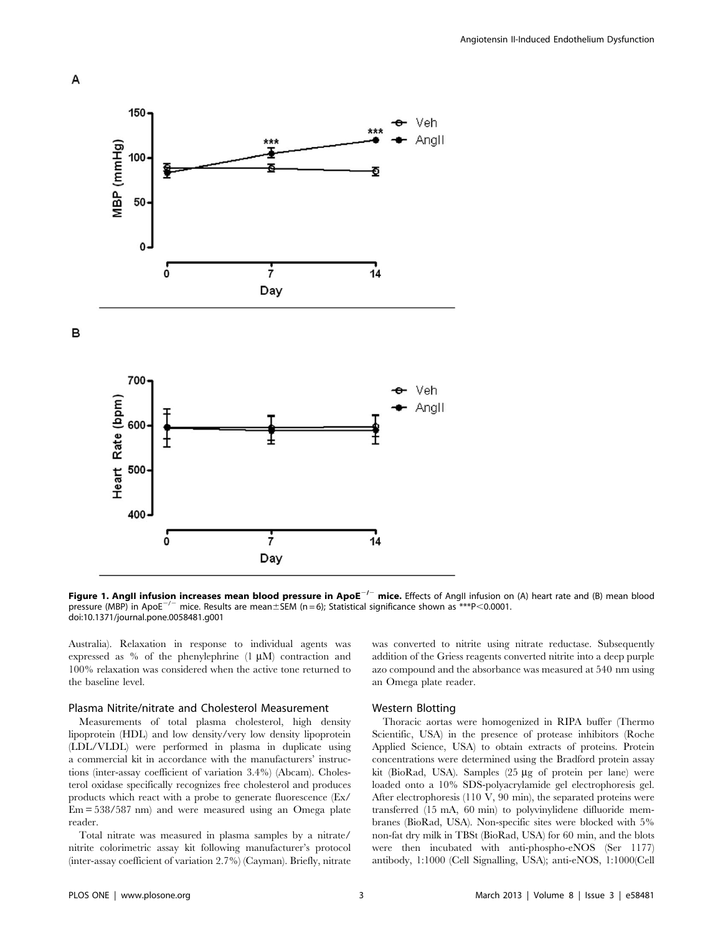



Australia). Relaxation in response to individual agents was expressed as % of the phenylephrine  $(1 \mu M)$  contraction and 100% relaxation was considered when the active tone returned to the baseline level.

## Plasma Nitrite/nitrate and Cholesterol Measurement

Measurements of total plasma cholesterol, high density lipoprotein (HDL) and low density/very low density lipoprotein (LDL/VLDL) were performed in plasma in duplicate using a commercial kit in accordance with the manufacturers' instructions (inter-assay coefficient of variation 3.4%) (Abcam). Cholesterol oxidase specifically recognizes free cholesterol and produces products which react with a probe to generate fluorescence (Ex/ Em = 538/587 nm) and were measured using an Omega plate reader.

Total nitrate was measured in plasma samples by a nitrate/ nitrite colorimetric assay kit following manufacturer's protocol (inter-assay coefficient of variation 2.7%) (Cayman). Briefly, nitrate was converted to nitrite using nitrate reductase. Subsequently addition of the Griess reagents converted nitrite into a deep purple azo compound and the absorbance was measured at 540 nm using an Omega plate reader.

#### Western Blotting

Thoracic aortas were homogenized in RIPA buffer (Thermo Scientific, USA) in the presence of protease inhibitors (Roche Applied Science, USA) to obtain extracts of proteins. Protein concentrations were determined using the Bradford protein assay kit (BioRad, USA). Samples (25 µg of protein per lane) were loaded onto a 10% SDS-polyacrylamide gel electrophoresis gel. After electrophoresis (110 V, 90 min), the separated proteins were transferred (15 mA, 60 min) to polyvinylidene difluoride membranes (BioRad, USA). Non-specific sites were blocked with 5% non-fat dry milk in TBSt (BioRad, USA) for 60 min, and the blots were then incubated with anti-phospho-eNOS (Ser 1177) antibody, 1:1000 (Cell Signalling, USA); anti-eNOS, 1:1000(Cell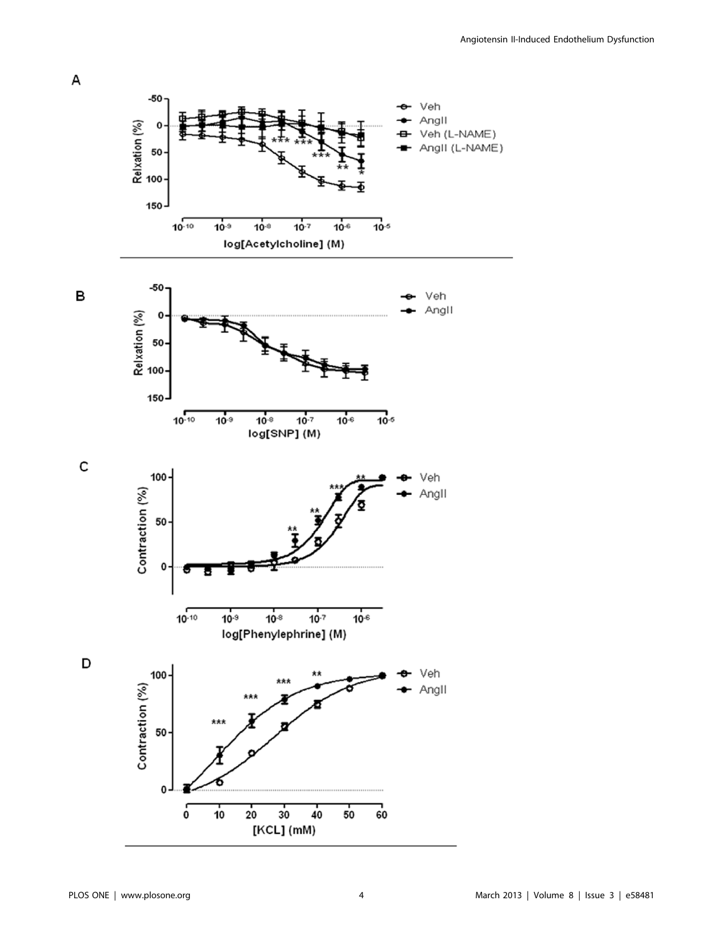

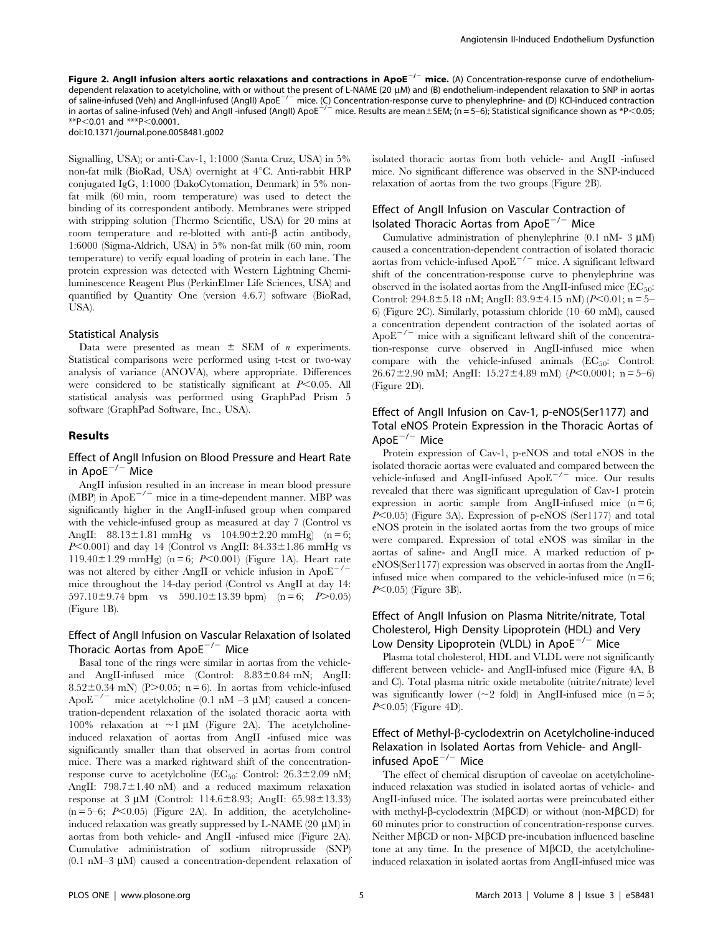Figure 2. AngII infusion alters aortic relaxations and contractions in ApoE<sup>-/-</sup> mice. (A) Concentration-response curve of endotheliumdependent relaxation to acetylcholine, with or without the present of L-NAME (20 µM) and (B) endothelium-independent relaxation to SNP in aortas of saline-infused (Veh) and AngII-infused (AngII) ApoE<sup>-/-</sup> mice. (C) Concentration-response curve to phenylephrine- and (D) KCI-induced contraction in aortas of saline-infused (Veh) and AngII -infused (AngII) ApoE $^{-/-}$  mice. Results are mean $\pm$ SEM; (n = 5–6); Statistical significance shown as \*P $<$ 0.05; \*\*P<0.01 and \*\*\*P<0.0001.

doi:10.1371/journal.pone.0058481.g002

Signalling, USA); or anti-Cav-1, 1:1000 (Santa Cruz, USA) in 5% non-fat milk (BioRad, USA) overnight at  $4^{\circ}$ C. Anti-rabbit HRP conjugated IgG, 1:1000 (DakoCytomation, Denmark) in 5% nonfat milk (60 min, room temperature) was used to detect the binding of its correspondent antibody. Membranes were stripped with stripping solution (Thermo Scientific, USA) for 20 mins at room temperature and re-blotted with anti- $\beta$  actin antibody, 1:6000 (Sigma-Aldrich, USA) in 5% non-fat milk (60 min, room temperature) to verify equal loading of protein in each lane. The protein expression was detected with Western Lightning Chemiluminescence Reagent Plus (PerkinElmer Life Sciences, USA) and quantified by Quantity One (version 4.6.7) software (BioRad, USA).

## Statistical Analysis

Data were presented as mean  $\pm$  SEM of *n* experiments. Statistical comparisons were performed using t-test or two-way analysis of variance (ANOVA), where appropriate. Differences were considered to be statistically significant at  $P<0.05$ . All statistical analysis was performed using GraphPad Prism 5 software (GraphPad Software, Inc., USA).

#### Results

# Effect of AngII Infusion on Blood Pressure and Heart Rate in  $ApoE^{-/-}$  Mice

AngII infusion resulted in an increase in mean blood pressure  $(MBP)$  in Apo $E^{-/-}$  mice in a time-dependent manner. MBP was significantly higher in the AngII-infused group when compared with the vehicle-infused group as measured at day 7 (Control vs AngII:  $88.13 \pm 1.81$  mmHg vs  $104.90 \pm 2.20$  mmHg) (n = 6;  $P<0.001$ ) and day 14 (Control vs AngII: 84.33 $\pm$ 1.86 mmHg vs 119.40 $\pm$ 1.29 mmHg) (n = 6; P<0.001) (Figure 1A). Heart rate was not altered by either AngII or vehicle infusion in  $ApoE^{-1}$ mice throughout the 14-day period (Control vs AngII at day 14: 597.10 $\pm$ 9.74 bpm vs 590.10 $\pm$ 13.39 bpm) (n = 6; P $>$ 0.05) (Figure 1B).

# Effect of AngII Infusion on Vascular Relaxation of Isolated Thoracic Aortas from  $ApoE^{-/-}$  Mice

Basal tone of the rings were similar in aortas from the vehicleand AngII-infused mice (Control:  $8.83 \pm 0.84$  mN; AngII: 8.52 $\pm$ 0.34 mN) (P $>$ 0.05; n = 6). In aortas from vehicle-infused Apo $E^{-/-}$  mice acetylcholine (0.1 nM –3  $\mu$ M) caused a concentration-dependent relaxation of the isolated thoracic aorta with 100% relaxation at  $\sim$ 1 µM (Figure 2A). The acetylcholineinduced relaxation of aortas from AngII -infused mice was significantly smaller than that observed in aortas from control mice. There was a marked rightward shift of the concentrationresponse curve to acetylcholine (EC<sub>50</sub>: Control:  $26.3 \pm 2.09$  nM; AngII:  $798.7 \pm 1.40$  nM) and a reduced maximum relaxation response at 3  $\mu$ M (Control: 114.6±8.93; AngII: 65.98±13.33)  $(n=5-6; P<0.05)$  (Figure 2A). In addition, the acetylcholineinduced relaxation was greatly suppressed by L-NAME (20  $\mu$ M) in aortas from both vehicle- and AngII -infused mice (Figure 2A). Cumulative administration of sodium nitroprusside (SNP)  $(0.1 \text{ nM} - 3 \mu)$  caused a concentration-dependent relaxation of isolated thoracic aortas from both vehicle- and AngII -infused mice. No significant difference was observed in the SNP-induced relaxation of aortas from the two groups (Figure 2B).

# Effect of AngII Infusion on Vascular Contraction of Isolated Thoracic Aortas from  $ApoE^{-/-}$  Mice

Cumulative administration of phenylephrine  $(0.1 \text{ nM-} 3 \mu \text{M})$ caused a concentration-dependent contraction of isolated thoracic aortas from vehicle-infused  $ApoE^{-/-}$  mice. A significant leftward shift of the concentration-response curve to phenylephrine was observed in the isolated aortas from the AngII-infused mice  $(EC_{50}$ : Control: 294.8 $\pm$ 5.18 nM; AngII: 83.9 $\pm$ 4.15 nM) (P<0.01; n = 5– 6) (Figure 2C). Similarly, potassium chloride (10–60 mM), caused a concentration dependent contraction of the isolated aortas of  $ApoE^{-/-}$  mice with a significant leftward shift of the concentration-response curve observed in AngII-infused mice when compare with the vehicle-infused animals  $(EC_{50}:$  Control: 26.67 $\pm$ 2.90 mM; AngII: 15.27 $\pm$ 4.89 mM) (P<0.0001; n = 5–6) (Figure 2D).

# Effect of AngII Infusion on Cav-1, p-eNOS(Ser1177) and Total eNOS Protein Expression in the Thoracic Aortas of Apo $E^{-/-}$  Mice

Protein expression of Cav-1, p-eNOS and total eNOS in the isolated thoracic aortas were evaluated and compared between the vehicle-infused and AngII-infused  $ApoE^{-/-}$  mice. Our results revealed that there was significant upregulation of Cav-1 protein expression in aortic sample from AngII-infused mice  $n = 6$ ;  $P<0.05$ ) (Figure 3A). Expression of p-eNOS (Ser1177) and total eNOS protein in the isolated aortas from the two groups of mice were compared. Expression of total eNOS was similar in the aortas of saline- and AngII mice. A marked reduction of peNOS(Ser1177) expression was observed in aortas from the AngIIinfused mice when compared to the vehicle-infused mice  $(n = 6)$ ;  $P<0.05$ ) (Figure 3B).

# Effect of AngII Infusion on Plasma Nitrite/nitrate, Total Cholesterol, High Density Lipoprotein (HDL) and Very Low Density Lipoprotein (VLDL) in  $ApoE^{-/-}$  Mice

Plasma total cholesterol, HDL and VLDL were not significantly different between vehicle- and AngII-infused mice (Figure 4A, B and C). Total plasma nitric oxide metabolite (nitrite/nitrate) level was significantly lower ( $\sim$ 2 fold) in AngII-infused mice (n = 5;  $P<0.05$ ) (Figure 4D).

# Effect of Methyl-β-cyclodextrin on Acetylcholine-induced Relaxation in Isolated Aortas from Vehicle- and AngIIinfused  $ApoE^{-/-}$  Mice

The effect of chemical disruption of caveolae on acetylcholineinduced relaxation was studied in isolated aortas of vehicle- and AngII-infused mice. The isolated aortas were preincubated either with methyl- $\beta$ -cyclodextrin (M $\beta$ CD) or without (non-M $\beta$ CD) for 60 minutes prior to construction of concentration-response curves. Neither M $\beta$ CD or non-M $\beta$ CD pre-incubation influenced baseline tone at any time. In the presence of  $M\beta CD$ , the acetylcholineinduced relaxation in isolated aortas from AngII-infused mice was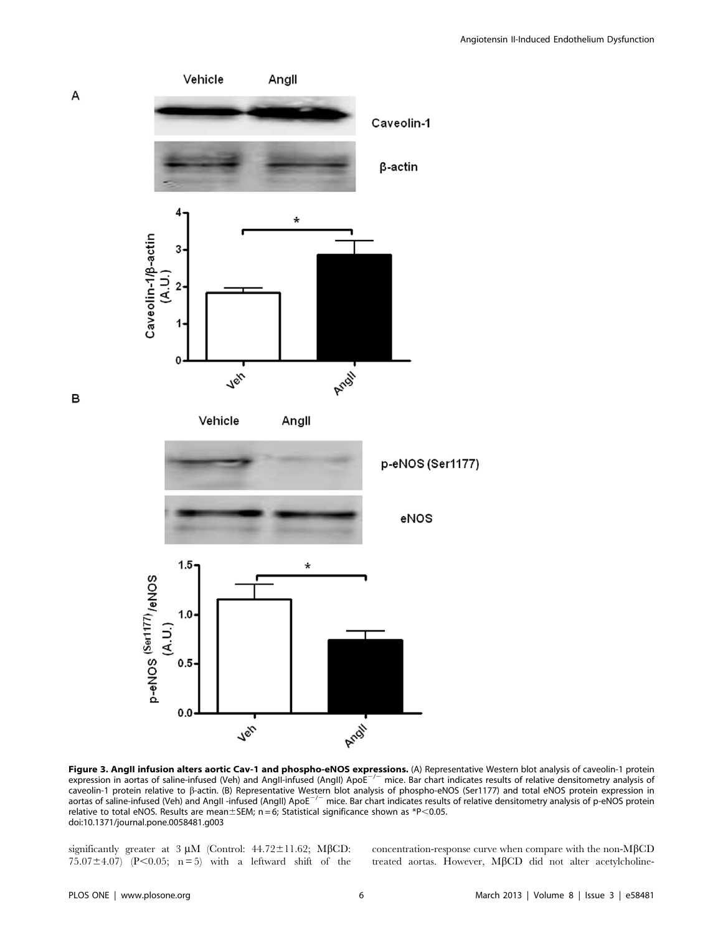



**Figure 3. Angll infusion alters aortic Cav-1 and phospho-eNOS expressions.** (A) Representative Western blot analysis of caveolin-1 protein<br>expression in aortas of saline-infused (Veh) and Angll-infused (Angll) ApoE<sup>-/–</sup> m caveolin-1 protein relative to  $\beta$ -actin. (B) Representative Western blot analysis of phospho-eNOS (Ser1177) and total eNOS protein expression in aortas of saline-infused (Veh) and AngII -infused (AngII) ApoE<sup>-/-</sup> mice. Bar chart indicates results of relative densitometry analysis of p-eNOS protein relative to total eNOS. Results are mean $\pm$ SEM; n = 6; Statistical significance shown as \*P<0.05. doi:10.1371/journal.pone.0058481.g003

significantly greater at  $3 \mu M$  (Control:  $44.72 \pm 11.62$ ; M $\beta$ CD:  $75.07 \pm 4.07$  (P<0.05; n = 5) with a leftward shift of the

concentration-response curve when compare with the non-M $\beta$ CD treated aortas. However, M $\beta$ CD did not alter acetylcholine-

A

B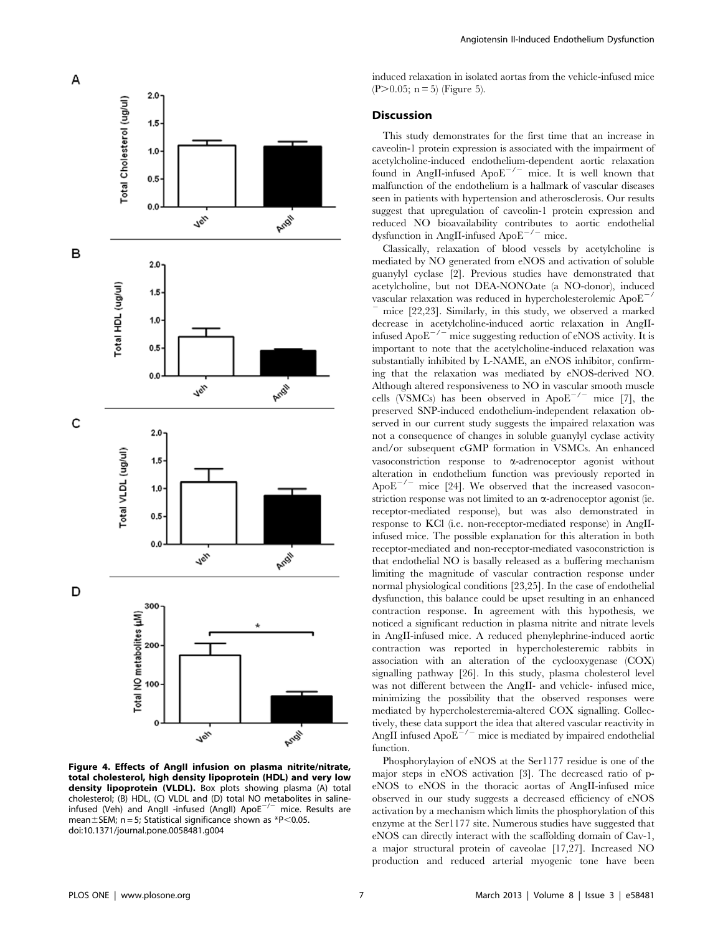

Figure 4. Effects of AngII infusion on plasma nitrite/nitrate, total cholesterol, high density lipoprotein (HDL) and very low density lipoprotein (VLDL). Box plots showing plasma (A) total cholesterol; (B) HDL, (C) VLDL and (D) total NO metabolites in salineinfused (Veh) and AngII -infused (AngII)  $ApoE^{-/-}$  mice. Results are mean $\pm$ SEM; n = 5; Statistical significance shown as \*P $<$ 0.05. doi:10.1371/journal.pone.0058481.g004

induced relaxation in isolated aortas from the vehicle-infused mice  $(P>0.05; n=5)$  (Figure 5).

## Discussion

This study demonstrates for the first time that an increase in caveolin-1 protein expression is associated with the impairment of acetylcholine-induced endothelium-dependent aortic relaxation found in AngII-infused  $ApoE^{-/-}$  mice. It is well known that malfunction of the endothelium is a hallmark of vascular diseases seen in patients with hypertension and atherosclerosis. Our results suggest that upregulation of caveolin-1 protein expression and reduced NO bioavailability contributes to aortic endothelial dysfunction in AngII-infused Apo $E^{-/-}$  mice.

Classically, relaxation of blood vessels by acetylcholine is mediated by NO generated from eNOS and activation of soluble guanylyl cyclase [2]. Previous studies have demonstrated that acetylcholine, but not DEA-NONOate (a NO-donor), induced vascular relaxation was reduced in hypercholesterolemic ApoE<sup>-</sup> <sup>2</sup> mice [22,23]. Similarly, in this study, we observed a marked decrease in acetylcholine-induced aortic relaxation in AngIIinfused Apo $E^{-/-}$  mice suggesting reduction of eNOS activity. It is important to note that the acetylcholine-induced relaxation was substantially inhibited by L-NAME, an eNOS inhibitor, confirming that the relaxation was mediated by eNOS-derived NO. Although altered responsiveness to NO in vascular smooth muscle cells (VSMCs) has been observed in  $ApoE^{-/-}$  mice [7], the preserved SNP-induced endothelium-independent relaxation observed in our current study suggests the impaired relaxation was not a consequence of changes in soluble guanylyl cyclase activity and/or subsequent cGMP formation in VSMCs. An enhanced vasoconstriction response to  $\alpha$ -adrenoceptor agonist without alteration in endothelium function was previously reported in  $ApoE^{-/-}$  mice [24]. We observed that the increased vasoconstriction response was not limited to an  $\alpha$ -adrenoceptor agonist (ie. receptor-mediated response), but was also demonstrated in response to KCl (i.e. non-receptor-mediated response) in AngIIinfused mice. The possible explanation for this alteration in both receptor-mediated and non-receptor-mediated vasoconstriction is that endothelial NO is basally released as a buffering mechanism limiting the magnitude of vascular contraction response under normal physiological conditions [23,25]. In the case of endothelial dysfunction, this balance could be upset resulting in an enhanced contraction response. In agreement with this hypothesis, we noticed a significant reduction in plasma nitrite and nitrate levels in AngII-infused mice. A reduced phenylephrine-induced aortic contraction was reported in hypercholesteremic rabbits in association with an alteration of the cyclooxygenase (COX) signalling pathway [26]. In this study, plasma cholesterol level was not different between the AngII- and vehicle- infused mice, minimizing the possibility that the observed responses were mediated by hypercholesteremia-altered COX signalling. Collectively, these data support the idea that altered vascular reactivity in AngII infused Apo $E^{-/-}$  mice is mediated by impaired endothelial function.

Phosphorylayion of eNOS at the Ser1177 residue is one of the major steps in eNOS activation [3]. The decreased ratio of peNOS to eNOS in the thoracic aortas of AngII-infused mice observed in our study suggests a decreased efficiency of eNOS activation by a mechanism which limits the phosphorylation of this enzyme at the Ser1177 site. Numerous studies have suggested that eNOS can directly interact with the scaffolding domain of Cav-1, a major structural protein of caveolae [17,27]. Increased NO production and reduced arterial myogenic tone have been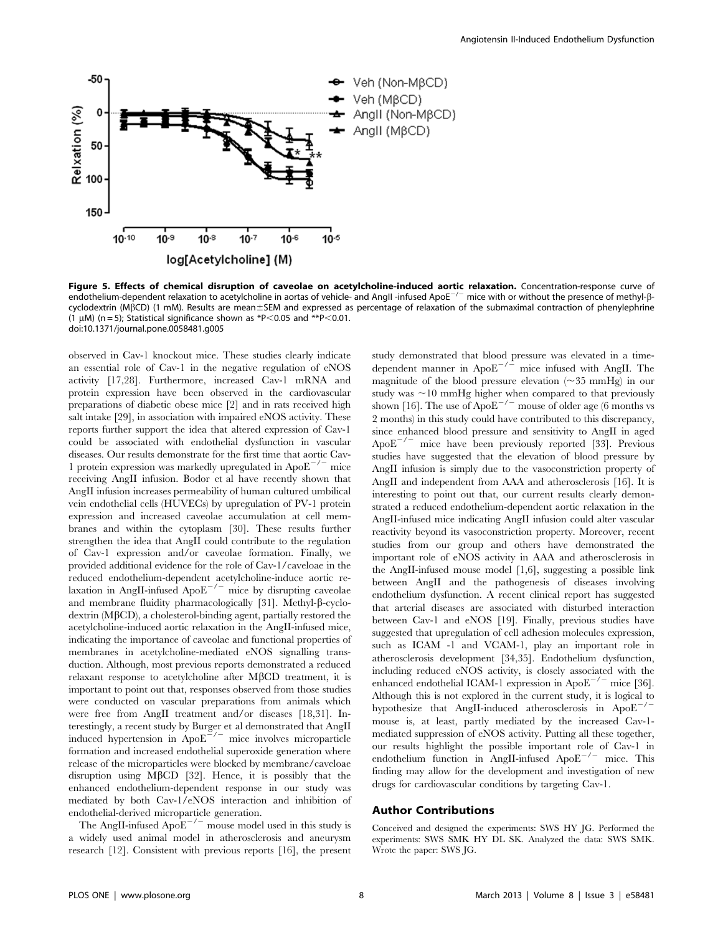

Figure 5. Effects of chemical disruption of caveolae on acetylcholine-induced aortic relaxation. Concentration-response curve of endothelium-dependent relaxation to acetylcholine in aortas of vehicle- and AngII -infused ApoE<sup>-/-</sup> mice with or without the presence of methyl- $\beta$ cyclodextrin (MßCD) (1 mM). Results are mean±SEM and expressed as percentage of relaxation of the submaximal contraction of phenylephrine (1  $\mu$ M) (n = 5); Statistical significance shown as \*P<0.05 and \*\*P<0.01. doi:10.1371/journal.pone.0058481.g005

observed in Cav-1 knockout mice. These studies clearly indicate an essential role of Cav-1 in the negative regulation of eNOS activity [17,28]. Furthermore, increased Cav-1 mRNA and protein expression have been observed in the cardiovascular preparations of diabetic obese mice [2] and in rats received high salt intake [29], in association with impaired eNOS activity. These reports further support the idea that altered expression of Cav-1 could be associated with endothelial dysfunction in vascular diseases. Our results demonstrate for the first time that aortic Cav-1 protein expression was markedly upregulated in  $ApoE^{-/-}$  mice receiving AngII infusion. Bodor et al have recently shown that AngII infusion increases permeability of human cultured umbilical vein endothelial cells (HUVECs) by upregulation of PV-1 protein expression and increased caveolae accumulation at cell membranes and within the cytoplasm [30]. These results further strengthen the idea that AngII could contribute to the regulation of Cav-1 expression and/or caveolae formation. Finally, we provided additional evidence for the role of Cav-1/caveloae in the reduced endothelium-dependent acetylcholine-induce aortic relaxation in AngII-infused Apo $E^{-/-}$  mice by disrupting caveolae and membrane fluidity pharmacologically [31]. Methyl- $\beta$ -cyclodextrin  $(M\beta CD)$ , a cholesterol-binding agent, partially restored the acetylcholine-induced aortic relaxation in the AngII-infused mice, indicating the importance of caveolae and functional properties of membranes in acetylcholine-mediated eNOS signalling transduction. Although, most previous reports demonstrated a reduced relaxant response to acetylcholine after  $M\beta$ CD treatment, it is important to point out that, responses observed from those studies were conducted on vascular preparations from animals which were free from AngII treatment and/or diseases [18,31]. Interestingly, a recent study by Burger et al demonstrated that AngII induced hypertension in  $ApoE^{-/-}$  mice involves microparticle formation and increased endothelial superoxide generation where release of the microparticles were blocked by membrane/caveloae disruption using M $\beta$ CD [32]. Hence, it is possibly that the enhanced endothelium-dependent response in our study was mediated by both Cav-1/eNOS interaction and inhibition of endothelial-derived microparticle generation.

The AngII-infused Apo $E^{-/-}$  mouse model used in this study is a widely used animal model in atherosclerosis and aneurysm research [12]. Consistent with previous reports [16], the present

study demonstrated that blood pressure was elevated in a timedependent manner in  $ApoE^{-/-}$  mice infused with AngII. The magnitude of the blood pressure elevation  $(\sim 35 \text{ mmHg})$  in our study was  $\sim$ 10 mmHg higher when compared to that previously shown [16]. The use of  $ApoE^{-/-}$  mouse of older age (6 months vs 2 months) in this study could have contributed to this discrepancy, since enhanced blood pressure and sensitivity to AngII in aged  $ApoE^{-/-}$  mice have been previously reported [33]. Previous studies have suggested that the elevation of blood pressure by AngII infusion is simply due to the vasoconstriction property of AngII and independent from AAA and atherosclerosis [16]. It is interesting to point out that, our current results clearly demonstrated a reduced endothelium-dependent aortic relaxation in the AngII-infused mice indicating AngII infusion could alter vascular reactivity beyond its vasoconstriction property. Moreover, recent studies from our group and others have demonstrated the important role of eNOS activity in AAA and atherosclerosis in the AngII-infused mouse model [1,6], suggesting a possible link between AngII and the pathogenesis of diseases involving endothelium dysfunction. A recent clinical report has suggested that arterial diseases are associated with disturbed interaction between Cav-1 and eNOS [19]. Finally, previous studies have suggested that upregulation of cell adhesion molecules expression, such as ICAM -1 and VCAM-1, play an important role in atherosclerosis development [34,35]. Endothelium dysfunction, including reduced eNOS activity, is closely associated with the enhanced endothelial ICAM-1 expression in Apo $E^{-/-}$  mice [36]. Although this is not explored in the current study, it is logical to hypothesize that AngII-induced atherosclerosis in Apo $E^{-/-}$ mouse is, at least, partly mediated by the increased Cav-1 mediated suppression of eNOS activity. Putting all these together, our results highlight the possible important role of Cav-1 in endothelium function in AngII-infused Apo $E^{-/-}$  mice. This finding may allow for the development and investigation of new drugs for cardiovascular conditions by targeting Cav-1.

## Author Contributions

Conceived and designed the experiments: SWS HY JG. Performed the experiments: SWS SMK HY DL SK. Analyzed the data: SWS SMK. Wrote the paper: SWS JG.